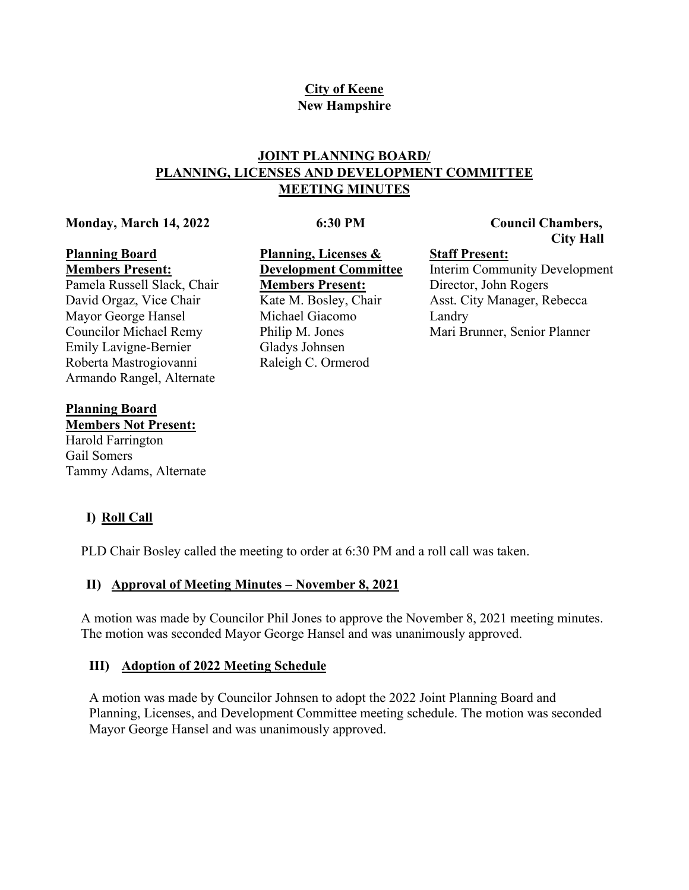# **City of Keene New Hampshire**

# **JOINT PLANNING BOARD/ PLANNING, LICENSES AND DEVELOPMENT COMMITTEE MEETING MINUTES**

### **Monday, March 14, 2022**

## **6:30 PM**

## **Council Chambers, City Hall**

### **Planning Board Members Present:**

Pamela Russell Slack, Chair David Orgaz, Vice Chair Mayor George Hansel Councilor Michael Remy Emily Lavigne-Bernier Roberta Mastrogiovanni Armando Rangel, Alternate

## **Planning Board**

**Members Not Present:** Harold Farrington Gail Somers Tammy Adams, Alternate

**I) Roll Call**

PLD Chair Bosley called the meeting to order at 6:30 PM and a roll call was taken.

# **II) Approval of Meeting Minutes – November 8, 2021**

A motion was made by Councilor Phil Jones to approve the November 8, 2021 meeting minutes. The motion was seconded Mayor George Hansel and was unanimously approved.

# **III) Adoption of 2022 Meeting Schedule**

A motion was made by Councilor Johnsen to adopt the 2022 Joint Planning Board and Planning, Licenses, and Development Committee meeting schedule. The motion was seconded Mayor George Hansel and was unanimously approved.

**Planning, Licenses & Development Committee Members Present:** Kate M. Bosley, Chair Michael Giacomo Philip M. Jones Gladys Johnsen Raleigh C. Ormerod

**Staff Present:** Interim Community Development Director, John Rogers Asst. City Manager, Rebecca Landry Mari Brunner, Senior Planner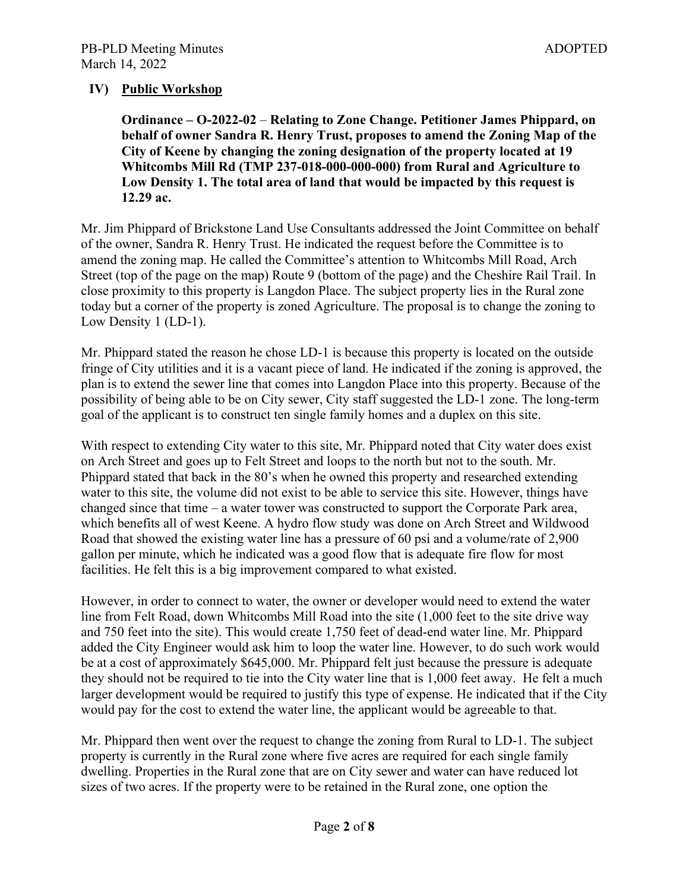## **IV) Public Workshop**

**Ordinance – O-2022-02** – **Relating to Zone Change. Petitioner James Phippard, on behalf of owner Sandra R. Henry Trust, proposes to amend the Zoning Map of the City of Keene by changing the zoning designation of the property located at 19 Whitcombs Mill Rd (TMP 237-018-000-000-000) from Rural and Agriculture to Low Density 1. The total area of land that would be impacted by this request is 12.29 ac.**

Mr. Jim Phippard of Brickstone Land Use Consultants addressed the Joint Committee on behalf of the owner, Sandra R. Henry Trust. He indicated the request before the Committee is to amend the zoning map. He called the Committee's attention to Whitcombs Mill Road, Arch Street (top of the page on the map) Route 9 (bottom of the page) and the Cheshire Rail Trail. In close proximity to this property is Langdon Place. The subject property lies in the Rural zone today but a corner of the property is zoned Agriculture. The proposal is to change the zoning to Low Density 1 (LD-1).

Mr. Phippard stated the reason he chose LD-1 is because this property is located on the outside fringe of City utilities and it is a vacant piece of land. He indicated if the zoning is approved, the plan is to extend the sewer line that comes into Langdon Place into this property. Because of the possibility of being able to be on City sewer, City staff suggested the LD-1 zone. The long-term goal of the applicant is to construct ten single family homes and a duplex on this site.

With respect to extending City water to this site, Mr. Phippard noted that City water does exist on Arch Street and goes up to Felt Street and loops to the north but not to the south. Mr. Phippard stated that back in the 80's when he owned this property and researched extending water to this site, the volume did not exist to be able to service this site. However, things have changed since that time – a water tower was constructed to support the Corporate Park area, which benefits all of west Keene. A hydro flow study was done on Arch Street and Wildwood Road that showed the existing water line has a pressure of 60 psi and a volume/rate of 2,900 gallon per minute, which he indicated was a good flow that is adequate fire flow for most facilities. He felt this is a big improvement compared to what existed.

However, in order to connect to water, the owner or developer would need to extend the water line from Felt Road, down Whitcombs Mill Road into the site (1,000 feet to the site drive way and 750 feet into the site). This would create 1,750 feet of dead-end water line. Mr. Phippard added the City Engineer would ask him to loop the water line. However, to do such work would be at a cost of approximately \$645,000. Mr. Phippard felt just because the pressure is adequate they should not be required to tie into the City water line that is 1,000 feet away. He felt a much larger development would be required to justify this type of expense. He indicated that if the City would pay for the cost to extend the water line, the applicant would be agreeable to that.

Mr. Phippard then went over the request to change the zoning from Rural to LD-1. The subject property is currently in the Rural zone where five acres are required for each single family dwelling. Properties in the Rural zone that are on City sewer and water can have reduced lot sizes of two acres. If the property were to be retained in the Rural zone, one option the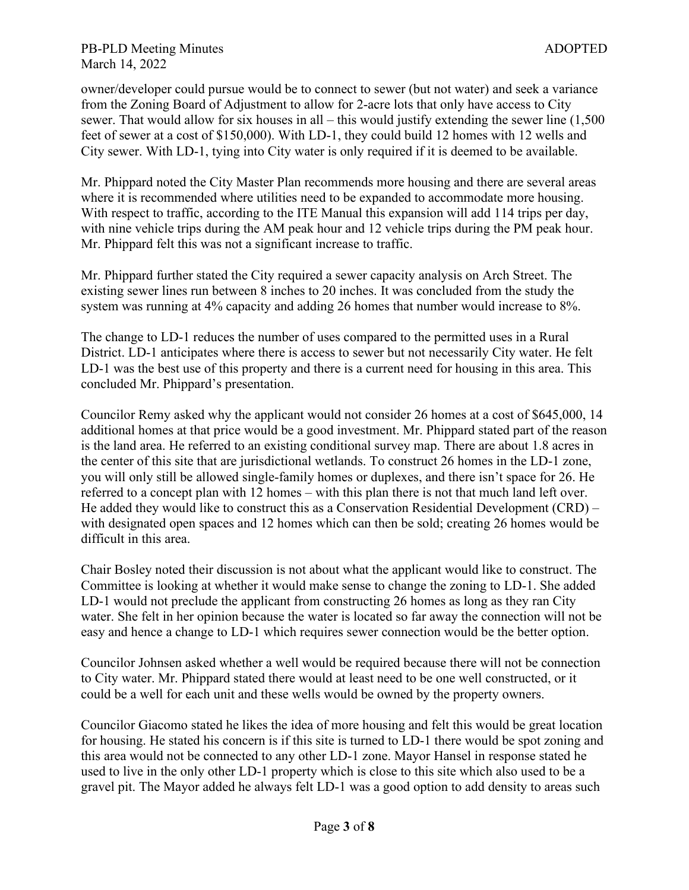owner/developer could pursue would be to connect to sewer (but not water) and seek a variance from the Zoning Board of Adjustment to allow for 2-acre lots that only have access to City sewer. That would allow for six houses in all – this would justify extending the sewer line (1,500 feet of sewer at a cost of \$150,000). With LD-1, they could build 12 homes with 12 wells and City sewer. With LD-1, tying into City water is only required if it is deemed to be available.

Mr. Phippard noted the City Master Plan recommends more housing and there are several areas where it is recommended where utilities need to be expanded to accommodate more housing. With respect to traffic, according to the ITE Manual this expansion will add 114 trips per day, with nine vehicle trips during the AM peak hour and 12 vehicle trips during the PM peak hour. Mr. Phippard felt this was not a significant increase to traffic.

Mr. Phippard further stated the City required a sewer capacity analysis on Arch Street. The existing sewer lines run between 8 inches to 20 inches. It was concluded from the study the system was running at 4% capacity and adding 26 homes that number would increase to 8%.

The change to LD-1 reduces the number of uses compared to the permitted uses in a Rural District. LD-1 anticipates where there is access to sewer but not necessarily City water. He felt LD-1 was the best use of this property and there is a current need for housing in this area. This concluded Mr. Phippard's presentation.

Councilor Remy asked why the applicant would not consider 26 homes at a cost of \$645,000, 14 additional homes at that price would be a good investment. Mr. Phippard stated part of the reason is the land area. He referred to an existing conditional survey map. There are about 1.8 acres in the center of this site that are jurisdictional wetlands. To construct 26 homes in the LD-1 zone, you will only still be allowed single-family homes or duplexes, and there isn't space for 26. He referred to a concept plan with 12 homes – with this plan there is not that much land left over. He added they would like to construct this as a Conservation Residential Development (CRD) – with designated open spaces and 12 homes which can then be sold; creating 26 homes would be difficult in this area.

Chair Bosley noted their discussion is not about what the applicant would like to construct. The Committee is looking at whether it would make sense to change the zoning to LD-1. She added LD-1 would not preclude the applicant from constructing 26 homes as long as they ran City water. She felt in her opinion because the water is located so far away the connection will not be easy and hence a change to LD-1 which requires sewer connection would be the better option.

Councilor Johnsen asked whether a well would be required because there will not be connection to City water. Mr. Phippard stated there would at least need to be one well constructed, or it could be a well for each unit and these wells would be owned by the property owners.

Councilor Giacomo stated he likes the idea of more housing and felt this would be great location for housing. He stated his concern is if this site is turned to LD-1 there would be spot zoning and this area would not be connected to any other LD-1 zone. Mayor Hansel in response stated he used to live in the only other LD-1 property which is close to this site which also used to be a gravel pit. The Mayor added he always felt LD-1 was a good option to add density to areas such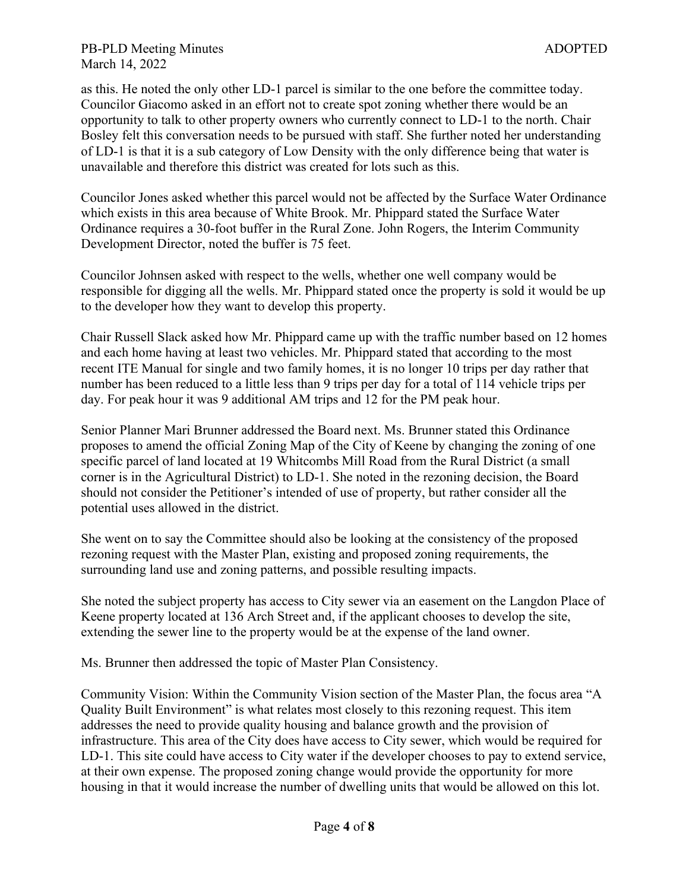as this. He noted the only other LD-1 parcel is similar to the one before the committee today. Councilor Giacomo asked in an effort not to create spot zoning whether there would be an opportunity to talk to other property owners who currently connect to LD-1 to the north. Chair Bosley felt this conversation needs to be pursued with staff. She further noted her understanding of LD-1 is that it is a sub category of Low Density with the only difference being that water is unavailable and therefore this district was created for lots such as this.

Councilor Jones asked whether this parcel would not be affected by the Surface Water Ordinance which exists in this area because of White Brook. Mr. Phippard stated the Surface Water Ordinance requires a 30-foot buffer in the Rural Zone. John Rogers, the Interim Community Development Director, noted the buffer is 75 feet.

Councilor Johnsen asked with respect to the wells, whether one well company would be responsible for digging all the wells. Mr. Phippard stated once the property is sold it would be up to the developer how they want to develop this property.

Chair Russell Slack asked how Mr. Phippard came up with the traffic number based on 12 homes and each home having at least two vehicles. Mr. Phippard stated that according to the most recent ITE Manual for single and two family homes, it is no longer 10 trips per day rather that number has been reduced to a little less than 9 trips per day for a total of 114 vehicle trips per day. For peak hour it was 9 additional AM trips and 12 for the PM peak hour.

Senior Planner Mari Brunner addressed the Board next. Ms. Brunner stated this Ordinance proposes to amend the official Zoning Map of the City of Keene by changing the zoning of one specific parcel of land located at 19 Whitcombs Mill Road from the Rural District (a small corner is in the Agricultural District) to LD-1. She noted in the rezoning decision, the Board should not consider the Petitioner's intended of use of property, but rather consider all the potential uses allowed in the district.

She went on to say the Committee should also be looking at the consistency of the proposed rezoning request with the Master Plan, existing and proposed zoning requirements, the surrounding land use and zoning patterns, and possible resulting impacts.

She noted the subject property has access to City sewer via an easement on the Langdon Place of Keene property located at 136 Arch Street and, if the applicant chooses to develop the site, extending the sewer line to the property would be at the expense of the land owner.

Ms. Brunner then addressed the topic of Master Plan Consistency.

Community Vision: Within the Community Vision section of the Master Plan, the focus area "A Quality Built Environment" is what relates most closely to this rezoning request. This item addresses the need to provide quality housing and balance growth and the provision of infrastructure. This area of the City does have access to City sewer, which would be required for LD-1. This site could have access to City water if the developer chooses to pay to extend service, at their own expense. The proposed zoning change would provide the opportunity for more housing in that it would increase the number of dwelling units that would be allowed on this lot.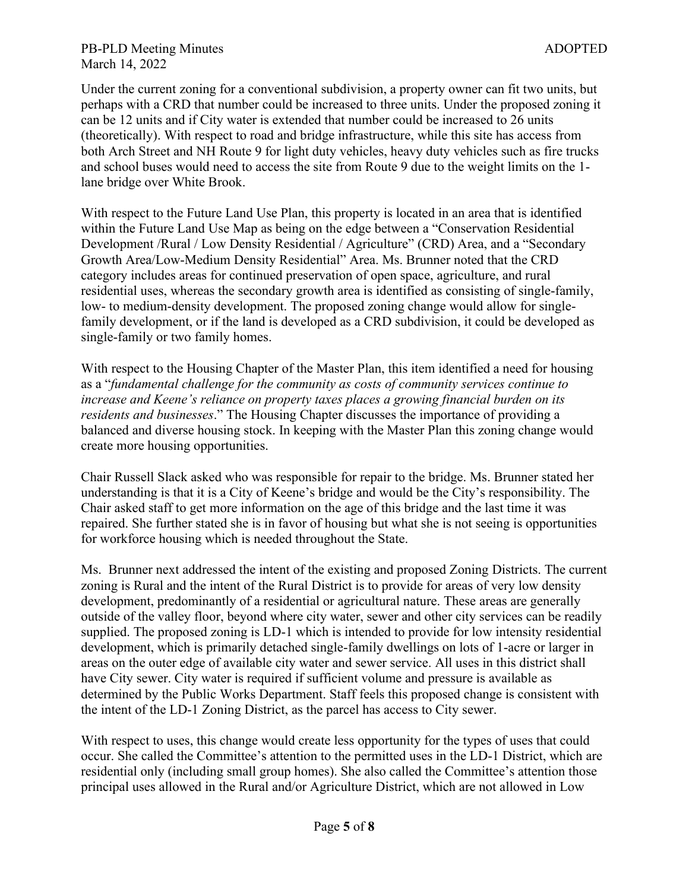PB-PLD Meeting Minutes ADOPTED March 14, 2022

Under the current zoning for a conventional subdivision, a property owner can fit two units, but perhaps with a CRD that number could be increased to three units. Under the proposed zoning it can be 12 units and if City water is extended that number could be increased to 26 units (theoretically). With respect to road and bridge infrastructure, while this site has access from both Arch Street and NH Route 9 for light duty vehicles, heavy duty vehicles such as fire trucks and school buses would need to access the site from Route 9 due to the weight limits on the 1 lane bridge over White Brook.

With respect to the Future Land Use Plan, this property is located in an area that is identified within the Future Land Use Map as being on the edge between a "Conservation Residential Development /Rural / Low Density Residential / Agriculture" (CRD) Area, and a "Secondary Growth Area/Low-Medium Density Residential" Area. Ms. Brunner noted that the CRD category includes areas for continued preservation of open space, agriculture, and rural residential uses, whereas the secondary growth area is identified as consisting of single-family, low- to medium-density development. The proposed zoning change would allow for singlefamily development, or if the land is developed as a CRD subdivision, it could be developed as single-family or two family homes.

With respect to the Housing Chapter of the Master Plan, this item identified a need for housing as a "*fundamental challenge for the community as costs of community services continue to increase and Keene's reliance on property taxes places a growing financial burden on its residents and businesses*." The Housing Chapter discusses the importance of providing a balanced and diverse housing stock. In keeping with the Master Plan this zoning change would create more housing opportunities.

Chair Russell Slack asked who was responsible for repair to the bridge. Ms. Brunner stated her understanding is that it is a City of Keene's bridge and would be the City's responsibility. The Chair asked staff to get more information on the age of this bridge and the last time it was repaired. She further stated she is in favor of housing but what she is not seeing is opportunities for workforce housing which is needed throughout the State.

Ms. Brunner next addressed the intent of the existing and proposed Zoning Districts. The current zoning is Rural and the intent of the Rural District is to provide for areas of very low density development, predominantly of a residential or agricultural nature. These areas are generally outside of the valley floor, beyond where city water, sewer and other city services can be readily supplied. The proposed zoning is LD-1 which is intended to provide for low intensity residential development, which is primarily detached single-family dwellings on lots of 1-acre or larger in areas on the outer edge of available city water and sewer service. All uses in this district shall have City sewer. City water is required if sufficient volume and pressure is available as determined by the Public Works Department. Staff feels this proposed change is consistent with the intent of the LD-1 Zoning District, as the parcel has access to City sewer.

With respect to uses, this change would create less opportunity for the types of uses that could occur. She called the Committee's attention to the permitted uses in the LD-1 District, which are residential only (including small group homes). She also called the Committee's attention those principal uses allowed in the Rural and/or Agriculture District, which are not allowed in Low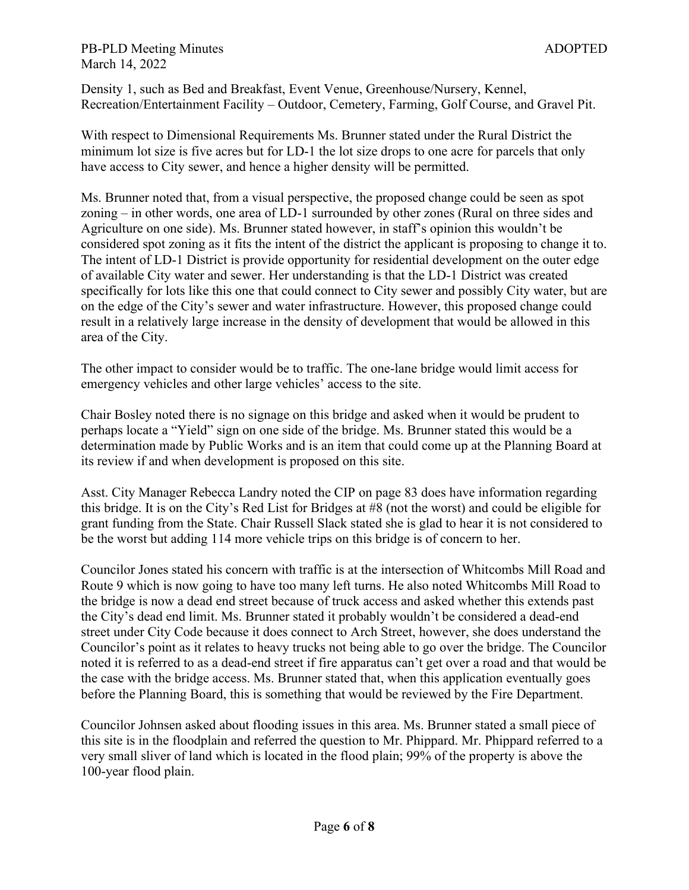PB-PLD Meeting Minutes ADOPTED March 14, 2022

Density 1, such as Bed and Breakfast, Event Venue, Greenhouse/Nursery, Kennel, Recreation/Entertainment Facility – Outdoor, Cemetery, Farming, Golf Course, and Gravel Pit.

With respect to Dimensional Requirements Ms. Brunner stated under the Rural District the minimum lot size is five acres but for LD-1 the lot size drops to one acre for parcels that only have access to City sewer, and hence a higher density will be permitted.

Ms. Brunner noted that, from a visual perspective, the proposed change could be seen as spot zoning – in other words, one area of LD-1 surrounded by other zones (Rural on three sides and Agriculture on one side). Ms. Brunner stated however, in staff's opinion this wouldn't be considered spot zoning as it fits the intent of the district the applicant is proposing to change it to. The intent of LD-1 District is provide opportunity for residential development on the outer edge of available City water and sewer. Her understanding is that the LD-1 District was created specifically for lots like this one that could connect to City sewer and possibly City water, but are on the edge of the City's sewer and water infrastructure. However, this proposed change could result in a relatively large increase in the density of development that would be allowed in this area of the City.

The other impact to consider would be to traffic. The one-lane bridge would limit access for emergency vehicles and other large vehicles' access to the site.

Chair Bosley noted there is no signage on this bridge and asked when it would be prudent to perhaps locate a "Yield" sign on one side of the bridge. Ms. Brunner stated this would be a determination made by Public Works and is an item that could come up at the Planning Board at its review if and when development is proposed on this site.

Asst. City Manager Rebecca Landry noted the CIP on page 83 does have information regarding this bridge. It is on the City's Red List for Bridges at #8 (not the worst) and could be eligible for grant funding from the State. Chair Russell Slack stated she is glad to hear it is not considered to be the worst but adding 114 more vehicle trips on this bridge is of concern to her.

Councilor Jones stated his concern with traffic is at the intersection of Whitcombs Mill Road and Route 9 which is now going to have too many left turns. He also noted Whitcombs Mill Road to the bridge is now a dead end street because of truck access and asked whether this extends past the City's dead end limit. Ms. Brunner stated it probably wouldn't be considered a dead-end street under City Code because it does connect to Arch Street, however, she does understand the Councilor's point as it relates to heavy trucks not being able to go over the bridge. The Councilor noted it is referred to as a dead-end street if fire apparatus can't get over a road and that would be the case with the bridge access. Ms. Brunner stated that, when this application eventually goes before the Planning Board, this is something that would be reviewed by the Fire Department.

Councilor Johnsen asked about flooding issues in this area. Ms. Brunner stated a small piece of this site is in the floodplain and referred the question to Mr. Phippard. Mr. Phippard referred to a very small sliver of land which is located in the flood plain; 99% of the property is above the 100-year flood plain.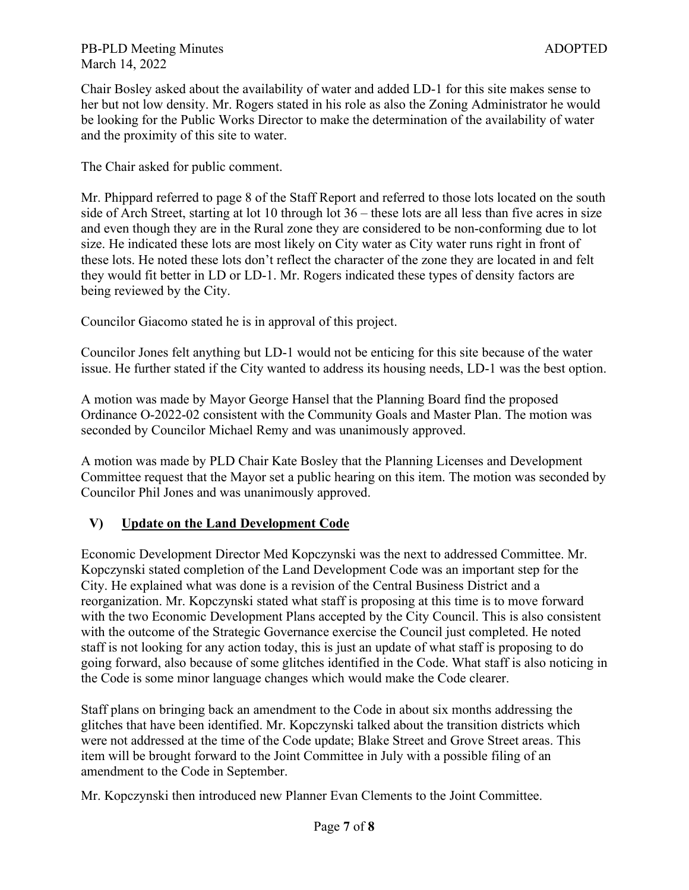### PB-PLD Meeting Minutes ADOPTED March 14, 2022

Chair Bosley asked about the availability of water and added LD-1 for this site makes sense to her but not low density. Mr. Rogers stated in his role as also the Zoning Administrator he would be looking for the Public Works Director to make the determination of the availability of water and the proximity of this site to water.

The Chair asked for public comment.

Mr. Phippard referred to page 8 of the Staff Report and referred to those lots located on the south side of Arch Street, starting at lot 10 through lot 36 – these lots are all less than five acres in size and even though they are in the Rural zone they are considered to be non-conforming due to lot size. He indicated these lots are most likely on City water as City water runs right in front of these lots. He noted these lots don't reflect the character of the zone they are located in and felt they would fit better in LD or LD-1. Mr. Rogers indicated these types of density factors are being reviewed by the City.

Councilor Giacomo stated he is in approval of this project.

Councilor Jones felt anything but LD-1 would not be enticing for this site because of the water issue. He further stated if the City wanted to address its housing needs, LD-1 was the best option.

A motion was made by Mayor George Hansel that the Planning Board find the proposed Ordinance O-2022-02 consistent with the Community Goals and Master Plan. The motion was seconded by Councilor Michael Remy and was unanimously approved.

A motion was made by PLD Chair Kate Bosley that the Planning Licenses and Development Committee request that the Mayor set a public hearing on this item. The motion was seconded by Councilor Phil Jones and was unanimously approved.

## **V) Update on the Land Development Code**

Economic Development Director Med Kopczynski was the next to addressed Committee. Mr. Kopczynski stated completion of the Land Development Code was an important step for the City. He explained what was done is a revision of the Central Business District and a reorganization. Mr. Kopczynski stated what staff is proposing at this time is to move forward with the two Economic Development Plans accepted by the City Council. This is also consistent with the outcome of the Strategic Governance exercise the Council just completed. He noted staff is not looking for any action today, this is just an update of what staff is proposing to do going forward, also because of some glitches identified in the Code. What staff is also noticing in the Code is some minor language changes which would make the Code clearer.

Staff plans on bringing back an amendment to the Code in about six months addressing the glitches that have been identified. Mr. Kopczynski talked about the transition districts which were not addressed at the time of the Code update; Blake Street and Grove Street areas. This item will be brought forward to the Joint Committee in July with a possible filing of an amendment to the Code in September.

Mr. Kopczynski then introduced new Planner Evan Clements to the Joint Committee.